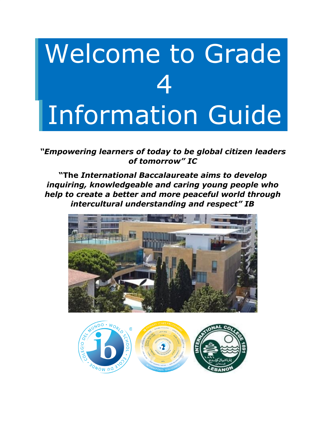# Welcome to Grade 4 Information Guide

*"Empowering learners of today to be global citizen leaders of tomorrow" IC*

**"The** *International Baccalaureate aims to develop inquiring, knowledgeable and caring young people who help to create a better and more peaceful world through intercultural understanding and respect" IB*



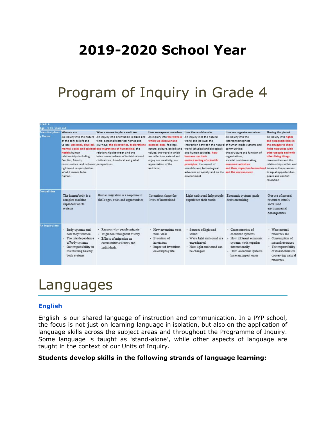### **2019-2020 School Year**

### Program of Inquiry in Grade 4

| Grade 4                                 |                                                                                                                                                                                                                                       |                                                                                                                                                                                                                                                                                                                                           |                                                                                                                                                                                                                                                |                                                                                                                                                                                                                                                                                                                                                                          |                                                                                                                                                                                                                        |                                                                                                                                                                                                                                                                        |
|-----------------------------------------|---------------------------------------------------------------------------------------------------------------------------------------------------------------------------------------------------------------------------------------|-------------------------------------------------------------------------------------------------------------------------------------------------------------------------------------------------------------------------------------------------------------------------------------------------------------------------------------------|------------------------------------------------------------------------------------------------------------------------------------------------------------------------------------------------------------------------------------------------|--------------------------------------------------------------------------------------------------------------------------------------------------------------------------------------------------------------------------------------------------------------------------------------------------------------------------------------------------------------------------|------------------------------------------------------------------------------------------------------------------------------------------------------------------------------------------------------------------------|------------------------------------------------------------------------------------------------------------------------------------------------------------------------------------------------------------------------------------------------------------------------|
| Age: 9-10 years old<br>Transdisciplinar | Who we are                                                                                                                                                                                                                            | Where we are in place and time                                                                                                                                                                                                                                                                                                            | How we express ourselves How the world works                                                                                                                                                                                                   |                                                                                                                                                                                                                                                                                                                                                                          | How we organize ourselves                                                                                                                                                                                              | Sharing the planet                                                                                                                                                                                                                                                     |
| Theme                                   | An inquiry into the nature<br>of the self: beliefs and<br>health: human<br>relationships including<br>families, friends.<br>communities, and cultures; perspectives.<br>rights and responsibilities;<br>what it means to be<br>human. | An inquiry into orientation in place and<br>time; personal histories; homes and<br>values; personal, physical; journeys; the discoveries, explorations<br>mental, social and spiritual and migrations of humankind; the<br>relationships between and the<br>interconnectedness of individuals and<br>civilizations, from local and global | An inquiry into the ways in<br>which we discover and<br>express ideas, feelings,<br>nature, culture, beliefs and<br>values; the ways in which<br>we reflect on, extend and<br>enjoy our creativity; our<br>appreciation of the<br>aest he tic. | An inquiry into the natural<br>world and its laws: the<br>interaction between the natural of human-made systems and<br>world (physical and biological)<br>and human societies: how<br>humans use their<br>understanding of scientific<br>principles; the impact of<br>scientific and technological<br>advances on society and on the and the environment<br>environment. | An inquiry into the<br>interconnectedness<br>communities:<br>the structure and function of<br>organizations;<br>societal decision-making;<br>economic activities<br>and their impact on humankind between them; access | An inquiry into rights<br>and responsibilities in<br>the struggle to share<br>finite resources with<br>other people and with<br>other living things;<br>communities and the<br>relationships within and<br>to equal opportunities:<br>peace and conflict<br>resolution |
| <b>Central Idea</b>                     | The human body is a<br>complex machine<br>dependent on its<br>systems                                                                                                                                                                 | Human migration is a response to<br>challenges, risks and opportunities                                                                                                                                                                                                                                                                   | Inventions shape the<br>lives of humankind                                                                                                                                                                                                     | Light and sound help people<br>experience their world                                                                                                                                                                                                                                                                                                                    | E conomic systems guide<br>decision making                                                                                                                                                                             | Our use of natural<br>resources entails<br>social and<br>environmental<br>consequences                                                                                                                                                                                 |
| An inquiry into                         | • Body systems and<br>how they function<br>· The interdependence<br>of body systems<br>• Our responsibility in<br>maintaining healthy<br>body systems                                                                                 | • Reasons why people migrate<br>· Migration throughout history<br>Effects of migration on<br>communities cultures and<br>individuals                                                                                                                                                                                                      | · How inventions stem<br>from ideas<br>· Evolution of<br>inventions.<br>· Impact of inventions<br>on everyday life                                                                                                                             | · Sources of light and<br>sound<br>· Ways light and sound are<br>experienced<br>· How light and sound can<br>be changed                                                                                                                                                                                                                                                  | · Characteristics of<br>economic systems<br>· How different economic<br>systems work together<br>internationally<br>• How economic systems<br>have an impact on us                                                     | · What natural<br>resources are<br>• Consumption of<br>natural resources<br>· The responsibility<br>of stakeholders in<br>conserving natural<br>resources.                                                                                                             |

### Languages

#### **English**

English is our shared language of instruction and communication. In a PYP school, the focus is not just on learning language in isolation, but also on the application of language skills across the subject areas and throughout the Programme of Inquiry. Some language is taught as 'stand-alone', while other aspects of language are taught in the context of our Units of Inquiry.

#### **Students develop skills in the following strands of language learning:**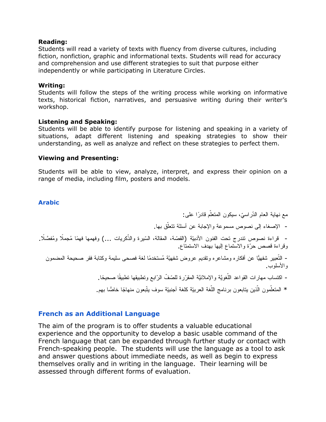#### **Reading:**

Students will read a variety of texts with fluency from diverse cultures, including fiction, nonfiction, graphic and informational texts. Students will read for accuracy and comprehension and use different strategies to suit that purpose either independently or while participating in Literature Circles.

#### **Writing:**

Students will follow the steps of the writing process while working on informative texts, historical fiction, narratives, and persuasive writing during their writer's workshop.

#### **Listening and Speaking:**

Students will be able to identify purpose for listening and speaking in a variety of situations, adapt different listening and speaking strategies to show their understanding, as well as analyze and reflect on these strategies to perfect them.

#### **Viewing and Presenting:**

Students will be able to view, analyze, interpret, and express their opinion on a range of media, including film, posters and models.

#### **Arabic**

مع نهاية العام الدّراسيّ، سيكون المتعلّم قادرًا على: - الإصغاء إلى نصوص مسموعة والإجابة عن أسئلة نتعلَّق بها. - قراءة نصوص تندرج تحت الفنون الأدبيّة (القصّة، المقالة، السّيرة والذّكريات ...) وفهمها فهمًا مُجملًا ومُفصّلًا. وقراءة قصص ّحرة والاستماع إلیها بهدف الاستمتاع. - التّعبیر شفهیًّا عن أفكار ه ومشاعر ه وتقدیم عروض شفهیّة مُستخدمًا لغة فصحى سلیمة وكتابة فقر صحیحة المضمون والأسلوب. - اكتساب مهارات القواعد اللُّغويَّة والإملائيَّة المقرّرة للصّفّ الرّابع وتطبيقها تطبيقًا صحيحًا. \* المتعلّمون الّذين يتابعون برنامج اللّغة العربيّة كلغة أجنبيّة سوف يتّبعون منهاجًا خاصًّا بهم.

#### **French as an Additional Language**

The aim of the program is to offer students a valuable educational experience and the opportunity to develop a basic usable command of the French language that can be expanded through further study or contact with French-speaking people. The students will use the language as a tool to ask and answer questions about immediate needs, as well as begin to express themselves orally and in writing in the language. Their learning will be assessed through different forms of evaluation.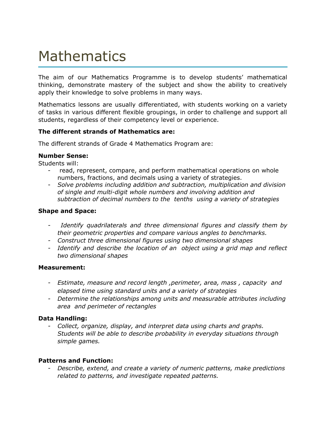### Mathematics

The aim of our Mathematics Programme is to develop students' mathematical thinking, demonstrate mastery of the subject and show the ability to creatively apply their knowledge to solve problems in many ways.

Mathematics lessons are usually differentiated, with students working on a variety of tasks in various different flexible groupings, in order to challenge and support all students, regardless of their competency level or experience.

#### **The different strands of Mathematics are:**

The different strands of Grade 4 Mathematics Program are:

#### **Number Sense:**

Students will:

- read, represent, compare, and perform mathematical operations on whole numbers, fractions, and decimals using a variety of strategies.
- *Solve problems including addition and subtraction, multiplication and division of single and multi-digit whole numbers and involving addition and subtraction of decimal numbers to the tenths using a variety of strategies*

#### **Shape and Space:**

- *- Identify quadrilaterals and three dimensional figures and classify them by their geometric properties and compare various angles to benchmarks.*
- *- Construct three dimensional figures using two dimensional shapes*
- *- Identify and describe the location of an object using a grid map and reflect two dimensional shapes*

#### **Measurement:**

- *- Estimate, measure and record length ,perimeter, area, mass , capacity and elapsed time using standard units and a variety of strategies*
- *- Determine the relationships among units and measurable attributes including area and perimeter of rectangles*

#### **Data Handling:**

*- Collect, organize, display, and interpret data using charts and graphs. Students will be able to describe probability in everyday situations through simple games.*

#### **Patterns and Function:**

*- Describe, extend, and create a variety of numeric patterns, make predictions related to patterns, and investigate repeated patterns.*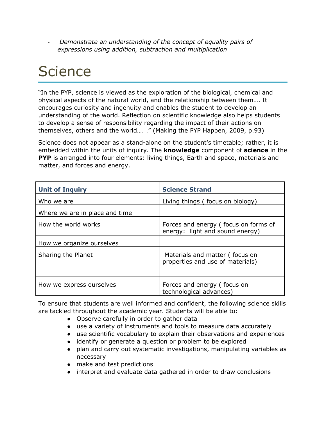*- Demonstrate an understanding of the concept of equality pairs of expressions using addition, subtraction and multiplication*

### **Science**

"In the PYP, science is viewed as the exploration of the biological, chemical and physical aspects of the natural world, and the relationship between them…. It encourages curiosity and ingenuity and enables the student to develop an understanding of the world. Reflection on scientific knowledge also helps students to develop a sense of responsibility regarding the impact of their actions on themselves, others and the world…. ." (Making the PYP Happen, 2009, p.93)

Science does not appear as a stand-alone on the student's timetable; rather, it is embedded within the units of inquiry. The **knowledge** component of **science** in the **PYP** is arranged into four elements: living things, Earth and space, materials and matter, and forces and energy.

| <b>Unit of Inquiry</b>         | <b>Science Strand</b>                                                   |
|--------------------------------|-------------------------------------------------------------------------|
| Who we are                     | Living things (focus on biology)                                        |
| Where we are in place and time |                                                                         |
| How the world works            | Forces and energy (focus on forms of<br>energy: light and sound energy) |
| How we organize ourselves      |                                                                         |
| Sharing the Planet             | Materials and matter (focus on<br>properties and use of materials)      |
| How we express ourselves       | Forces and energy (focus on<br>technological advances)                  |

To ensure that students are well informed and confident, the following science skills are tackled throughout the academic year. Students will be able to:

- Observe carefully in order to gather data
- use a variety of instruments and tools to measure data accurately
- use scientific vocabulary to explain their observations and experiences
- identify or generate a question or problem to be explored
- plan and carry out systematic investigations, manipulating variables as necessary
- make and test predictions
- interpret and evaluate data gathered in order to draw conclusions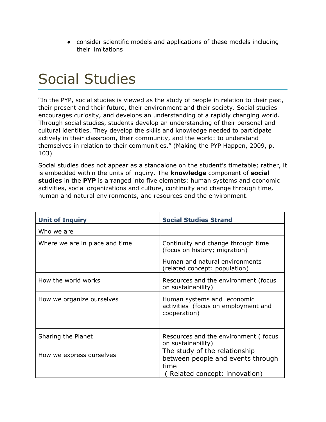● consider scientific models and applications of these models including their limitations

### Social Studies

"In the PYP, social studies is viewed as the study of people in relation to their past, their present and their future, their environment and their society. Social studies encourages curiosity, and develops an understanding of a rapidly changing world. Through social studies, students develop an understanding of their personal and cultural identities. They develop the skills and knowledge needed to participate actively in their classroom, their community, and the world: to understand themselves in relation to their communities." (Making the PYP Happen, 2009, p. 103)

Social studies does not appear as a standalone on the student's timetable; rather, it is embedded within the units of inquiry. The **knowledge** component of **social studies** in the **PYP** is arranged into five elements: human systems and economic activities, social organizations and culture, continuity and change through time, human and natural environments, and resources and the environment.

| <b>Unit of Inquiry</b>         | <b>Social Studies Strand</b>                                                                               |  |  |
|--------------------------------|------------------------------------------------------------------------------------------------------------|--|--|
| Who we are                     |                                                                                                            |  |  |
| Where we are in place and time | Continuity and change through time<br>(focus on history; migration)                                        |  |  |
|                                | Human and natural environments<br>(related concept: population)                                            |  |  |
| How the world works            | Resources and the environment (focus<br>on sustainability)                                                 |  |  |
| How we organize ourselves      | Human systems and economic<br>activities (focus on employment and<br>cooperation)                          |  |  |
| Sharing the Planet             | Resources and the environment (focus<br>on sustainability)                                                 |  |  |
| How we express ourselves       | The study of the relationship<br>between people and events through<br>time<br>Related concept: innovation) |  |  |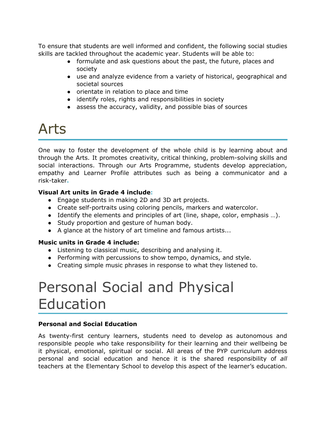To ensure that students are well informed and confident, the following social studies skills are tackled throughout the academic year. Students will be able to:

- formulate and ask questions about the past, the future, places and society
- use and analyze evidence from a variety of historical, geographical and societal sources
- orientate in relation to place and time
- identify roles, rights and responsibilities in society
- assess the accuracy, validity, and possible bias of sources

### Arts

One way to foster the development of the whole child is by learning about and through the Arts. It promotes creativity, critical thinking, problem-solving skills and social interactions. Through our Arts Programme, students develop appreciation, empathy and Learner Profile attributes such as being a communicator and a risk-taker**.**

#### **Visual Art units in Grade 4 include:**

- Engage students in making 2D and 3D art projects.
- Create self-portraits using coloring pencils, markers and watercolor.
- Identify the elements and principles of art (line, shape, color, emphasis …).
- Study proportion and gesture of human body.
- A glance at the history of art timeline and famous artists...

#### **Music units in Grade 4 include:**

- Listening to classical music, describing and analysing it.
- Performing with percussions to show tempo, dynamics, and style.
- Creating simple music phrases in response to what they listened to.

### Personal Social and Physical Education

#### **Personal and Social Education**

As twenty-first century learners, students need to develop as autonomous and responsible people who take responsibility for their learning and their wellbeing be it physical, emotional, spiritual or social. All areas of the PYP curriculum address personal and social education and hence it is the shared responsibility of *all* teachers at the Elementary School to develop this aspect of the learner's education.